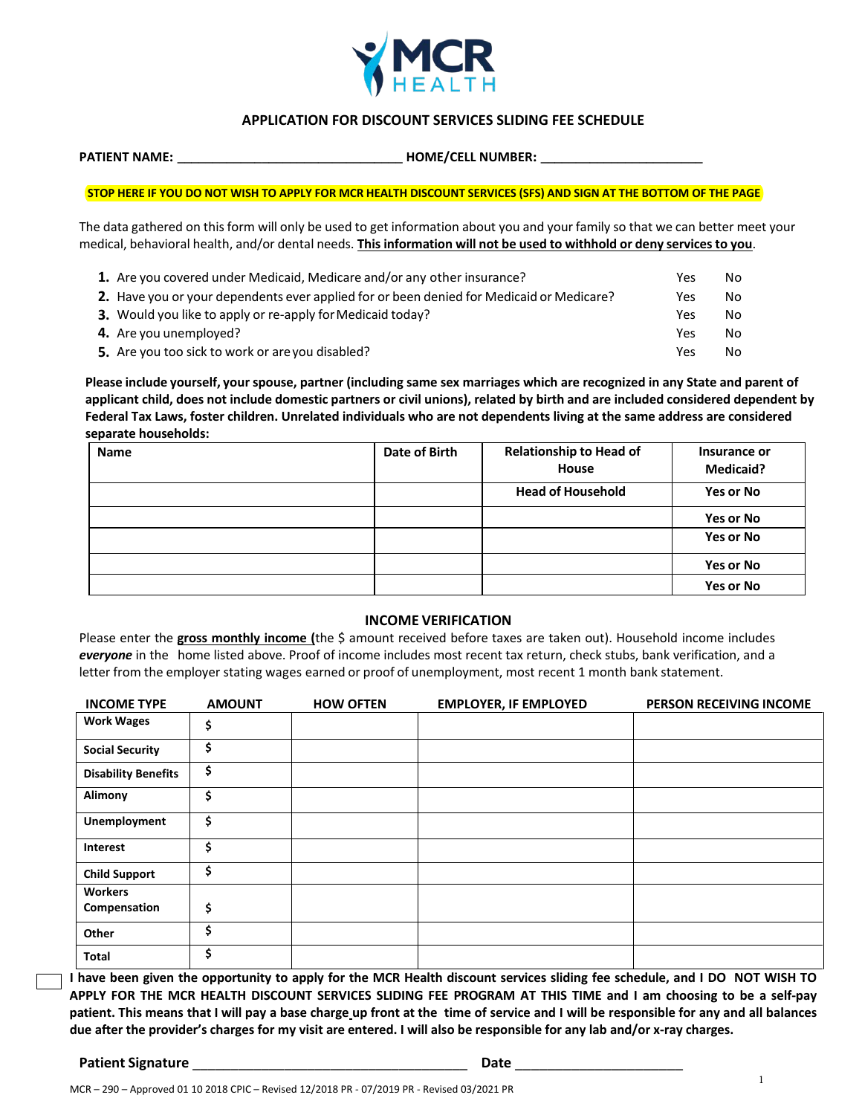

## **APPLICATION FOR DISCOUNT SERVICES SLIDING FEE SCHEDULE**

 **PATIENT NAME: \_\_\_\_\_\_\_\_\_\_\_\_\_\_\_\_\_\_\_\_\_\_\_\_\_\_\_\_\_\_\_\_ HOME/CELL NUMBER: \_\_\_\_\_\_\_\_\_\_\_\_\_\_\_\_\_\_\_\_\_\_\_**

 **STOP HERE IF YOU DO NOT WISH TO APPLY FOR MCR HEALTH DISCOUNT SERVICES (SFS) AND SIGN AT THE BOTTOM OF THE PAGE**

The data gathered on this form will only be used to get information about you and your family so that we can better meet your medical, behavioral health, and/or dental needs. **This information will not be used to withhold or deny services to you**.

| 1. Are you covered under Medicaid, Medicare and/or any other insurance?                  | Yes | No |
|------------------------------------------------------------------------------------------|-----|----|
| 2. Have you or your dependents ever applied for or been denied for Medicaid or Medicare? | Yes | No |
| 3. Would you like to apply or re-apply for Medicaid today?                               | Yes | No |
| 4. Are you unemployed?                                                                   | Yes | No |
| 5. Are you too sick to work or are you disabled?                                         | Yes | No |

**Please include yourself, yourspouse, partner (including same sex marriages which are recognized in any State and parent of applicant child, does not include domestic partners or civil unions), related by birth and are included considered dependent by Federal Tax Laws, foster children. Unrelated individuals who are not dependents living at the same address are considered separate households:**

| <b>Name</b> | Date of Birth | <b>Relationship to Head of</b><br>House | Insurance or<br><b>Medicaid?</b> |
|-------------|---------------|-----------------------------------------|----------------------------------|
|             |               | <b>Head of Household</b>                | <b>Yes or No</b>                 |
|             |               |                                         | Yes or No                        |
|             |               |                                         | <b>Yes or No</b>                 |
|             |               |                                         | <b>Yes or No</b>                 |
|             |               |                                         | <b>Yes or No</b>                 |

#### **INCOME VERIFICATION**

Please enter the **gross monthly income (**the \$ amount received before taxes are taken out). Household income includes *everyone* in the home listed above. Proof of income includes most recent tax return, check stubs, bank verification, and a letter from the employer stating wages earned or proof of unemployment, most recent 1 month bank statement.

| <b>INCOME TYPE</b>             | <b>AMOUNT</b> | <b>HOW OFTEN</b> | <b>EMPLOYER, IF EMPLOYED</b> | <b>PERSON RECEIVING INCOME</b> |
|--------------------------------|---------------|------------------|------------------------------|--------------------------------|
| <b>Work Wages</b>              | \$            |                  |                              |                                |
| <b>Social Security</b>         | \$            |                  |                              |                                |
| <b>Disability Benefits</b>     | \$            |                  |                              |                                |
| Alimony                        | \$            |                  |                              |                                |
| <b>Unemployment</b>            | \$            |                  |                              |                                |
| Interest                       | \$            |                  |                              |                                |
| <b>Child Support</b>           | \$            |                  |                              |                                |
| <b>Workers</b><br>Compensation | \$            |                  |                              |                                |
| Other                          | Ś             |                  |                              |                                |
| <b>Total</b>                   | Ś             |                  |                              |                                |

**I have been given the opportunity to apply for the MCR Health discount services sliding fee schedule, and I DO NOT WISH TO APPLY FOR THE MCR HEALTH DISCOUNT SERVICES SLIDING FEE PROGRAM AT THIS TIME and I am choosing to be a self-pay** patient. This means that I will pay a base charge up front at the time of service and I will be responsible for any and all balances **due after the provider's charges for my visit are entered. I will also be responsible for any lab and/or x-ray charges.**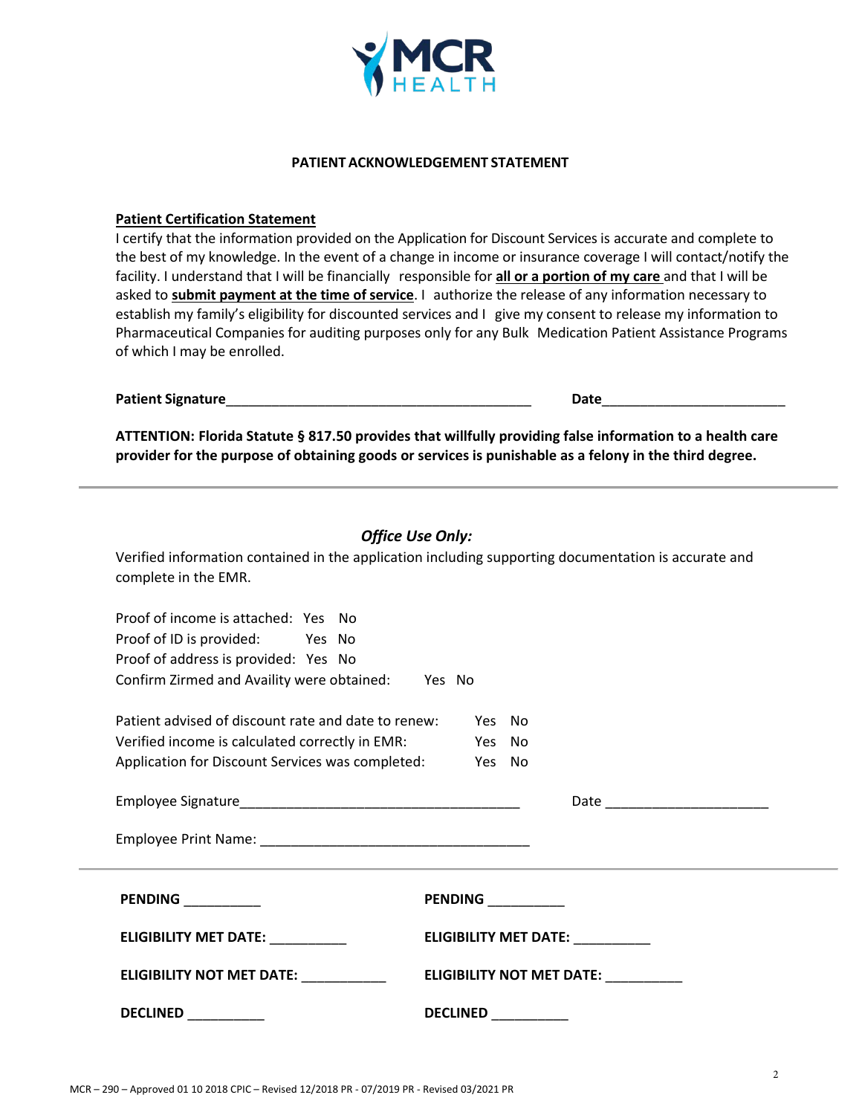

### **PATIENT ACKNOWLEDGEMENT STATEMENT**

### **Patient Certification Statement**

I certify that the information provided on the Application for Discount Services is accurate and complete to the best of my knowledge. In the event of a change in income or insurance coverage I will contact/notify the facility. I understand that I will be financially responsible for **all or a portion of my care** and that I will be asked to **submit payment at the time of service**. I authorize the release of any information necessary to establish my family's eligibility for discounted services and I give my consent to release my information to Pharmaceutical Companies for auditing purposes only for any Bulk Medication Patient Assistance Programs of which I may be enrolled.

| Patient Signature | Date |  |
|-------------------|------|--|
|                   |      |  |

**ATTENTION: Florida Statute § 817.50 provides that willfully providing false information to a health care provider for the purpose of obtaining goods or services is punishable as a felony in the third degree.**

| <b>Office Use Only:</b><br>Verified information contained in the application including supporting documentation is accurate and<br>complete in the EMR.                         |                                      |  |  |  |
|---------------------------------------------------------------------------------------------------------------------------------------------------------------------------------|--------------------------------------|--|--|--|
| Proof of income is attached: Yes No<br>Proof of ID is provided: Yes No<br>Proof of address is provided: Yes No<br>Confirm Zirmed and Availity were obtained: Yes No             |                                      |  |  |  |
| Patient advised of discount rate and date to renew: Yes No<br>Verified income is calculated correctly in EMR: Yes No<br>Application for Discount Services was completed: Yes No |                                      |  |  |  |
|                                                                                                                                                                                 | Date _________________________       |  |  |  |
| <b>PENDING</b> __________                                                                                                                                                       | PENDING _________                    |  |  |  |
| ELIGIBILITY MET DATE: _________                                                                                                                                                 | <b>ELIGIBILITY MET DATE:</b>         |  |  |  |
| ELIGIBILITY NOT MET DATE: NATIONAL CONTROLLER CONTROLLER THE SET OF THE SET OF THE SET OF THE SET OF THE SET O                                                                  | ELIGIBILITY NOT MET DATE: __________ |  |  |  |
|                                                                                                                                                                                 | DECLINED ___________                 |  |  |  |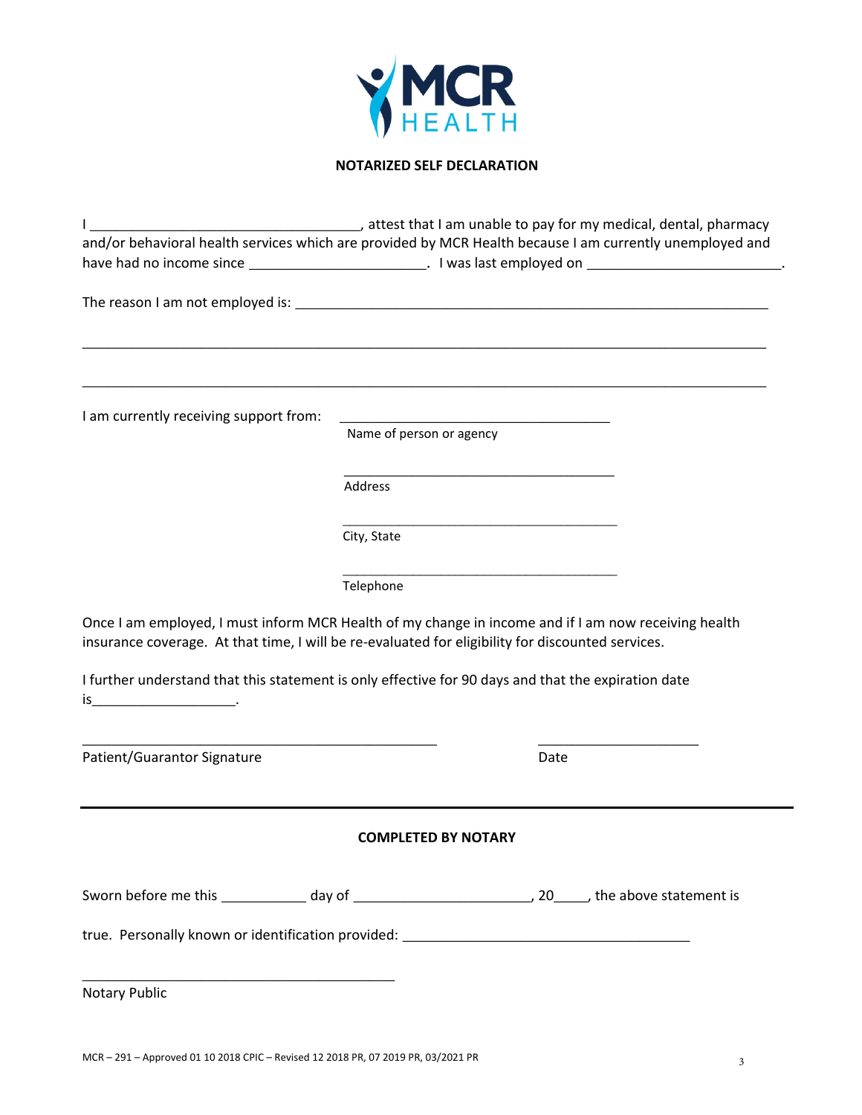

# **NOTARIZED SELF DECLARATION**

|                                                                                                                                                                                                           |                                                                                                                                                  | attest that I am unable to pay for my medical, dental, pharmacy (and I can be interested by the line of the li |
|-----------------------------------------------------------------------------------------------------------------------------------------------------------------------------------------------------------|--------------------------------------------------------------------------------------------------------------------------------------------------|----------------------------------------------------------------------------------------------------------------|
| and/or behavioral health services which are provided by MCR Health because I am currently unemployed and                                                                                                  |                                                                                                                                                  |                                                                                                                |
|                                                                                                                                                                                                           |                                                                                                                                                  |                                                                                                                |
|                                                                                                                                                                                                           |                                                                                                                                                  |                                                                                                                |
|                                                                                                                                                                                                           |                                                                                                                                                  |                                                                                                                |
|                                                                                                                                                                                                           |                                                                                                                                                  |                                                                                                                |
|                                                                                                                                                                                                           |                                                                                                                                                  |                                                                                                                |
|                                                                                                                                                                                                           |                                                                                                                                                  |                                                                                                                |
| I am currently receiving support from:                                                                                                                                                                    | <u> 1989 - Johann Barn, mars eta bat erroman erroman erroman erroman erroman erroman erroman erroman erroman err</u><br>Name of person or agency |                                                                                                                |
|                                                                                                                                                                                                           |                                                                                                                                                  |                                                                                                                |
|                                                                                                                                                                                                           |                                                                                                                                                  |                                                                                                                |
|                                                                                                                                                                                                           | Address                                                                                                                                          |                                                                                                                |
|                                                                                                                                                                                                           |                                                                                                                                                  |                                                                                                                |
|                                                                                                                                                                                                           | City, State                                                                                                                                      |                                                                                                                |
|                                                                                                                                                                                                           |                                                                                                                                                  |                                                                                                                |
|                                                                                                                                                                                                           | Telephone                                                                                                                                        |                                                                                                                |
| Once I am employed, I must inform MCR Health of my change in income and if I am now receiving health<br>insurance coverage. At that time, I will be re-evaluated for eligibility for discounted services. |                                                                                                                                                  |                                                                                                                |
| I further understand that this statement is only effective for 90 days and that the expiration date                                                                                                       |                                                                                                                                                  |                                                                                                                |
| Patient/Guarantor Signature                                                                                                                                                                               |                                                                                                                                                  | Date                                                                                                           |
|                                                                                                                                                                                                           |                                                                                                                                                  |                                                                                                                |
|                                                                                                                                                                                                           | <b>COMPLETED BY NOTARY</b>                                                                                                                       |                                                                                                                |
|                                                                                                                                                                                                           |                                                                                                                                                  |                                                                                                                |
|                                                                                                                                                                                                           |                                                                                                                                                  |                                                                                                                |
| true. Personally known or identification provided: ______________________________                                                                                                                         |                                                                                                                                                  |                                                                                                                |
|                                                                                                                                                                                                           |                                                                                                                                                  |                                                                                                                |
| <b>Notary Public</b>                                                                                                                                                                                      |                                                                                                                                                  |                                                                                                                |
|                                                                                                                                                                                                           |                                                                                                                                                  |                                                                                                                |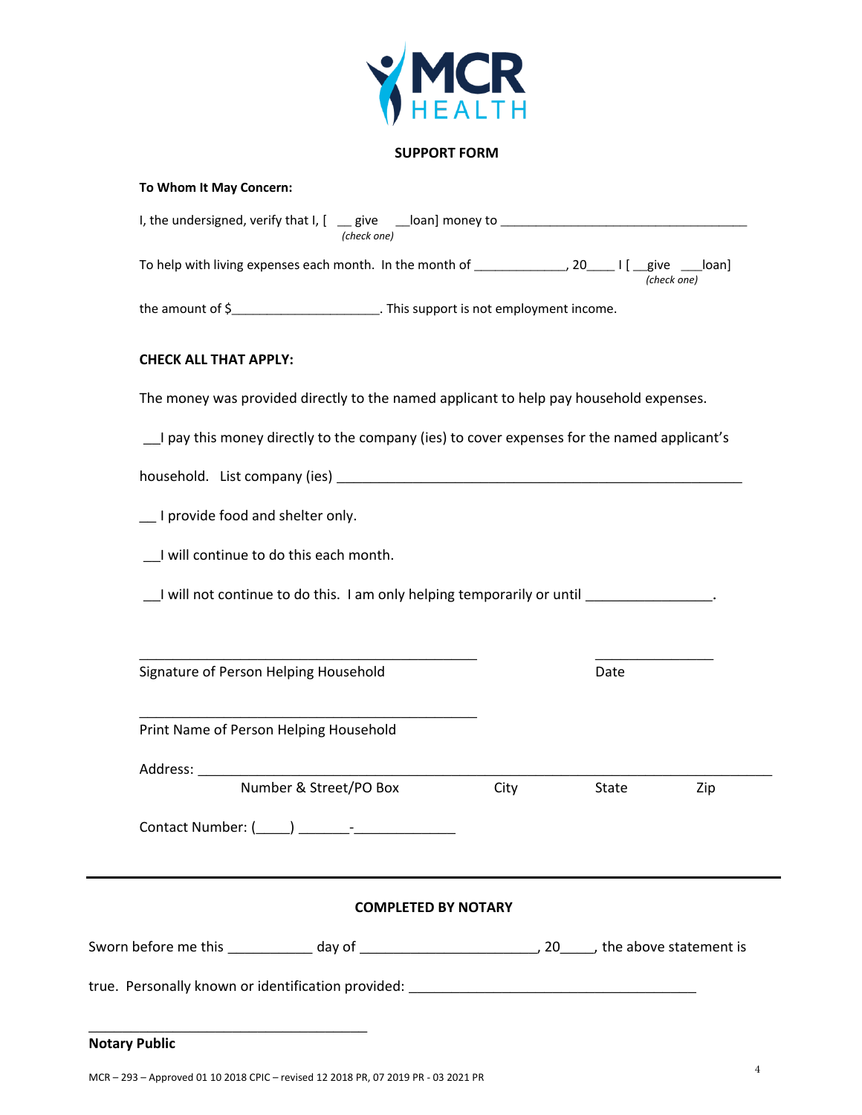

## **SUPPORT FORM**

## **To Whom It May Concern:**

|                                         | (check one)                                                                                              |      |       |             |
|-----------------------------------------|----------------------------------------------------------------------------------------------------------|------|-------|-------------|
|                                         | To help with living expenses each month. In the month of ________________, 20______I [ __give _____loan] |      |       | (check one) |
|                                         | the amount of \$____________________________. This support is not employment income.                     |      |       |             |
| <b>CHECK ALL THAT APPLY:</b>            |                                                                                                          |      |       |             |
|                                         | The money was provided directly to the named applicant to help pay household expenses.                   |      |       |             |
|                                         | I pay this money directly to the company (ies) to cover expenses for the named applicant's               |      |       |             |
|                                         |                                                                                                          |      |       |             |
| __ I provide food and shelter only.     |                                                                                                          |      |       |             |
| _I will continue to do this each month. |                                                                                                          |      |       |             |
|                                         | __I will not continue to do this. I am only helping temporarily or until __________________.             |      |       |             |
|                                         |                                                                                                          |      |       |             |
| Signature of Person Helping Household   |                                                                                                          |      | Date  |             |
| Print Name of Person Helping Household  |                                                                                                          |      |       |             |
|                                         |                                                                                                          |      |       |             |
|                                         | Number & Street/PO Box                                                                                   | City | State | Zip         |
|                                         |                                                                                                          |      |       |             |
|                                         | <b>COMPLETED BY NOTARY</b>                                                                               |      |       |             |
|                                         |                                                                                                          |      |       |             |
|                                         |                                                                                                          |      |       |             |
|                                         |                                                                                                          |      |       |             |
| <b>Notary Public</b>                    |                                                                                                          |      |       |             |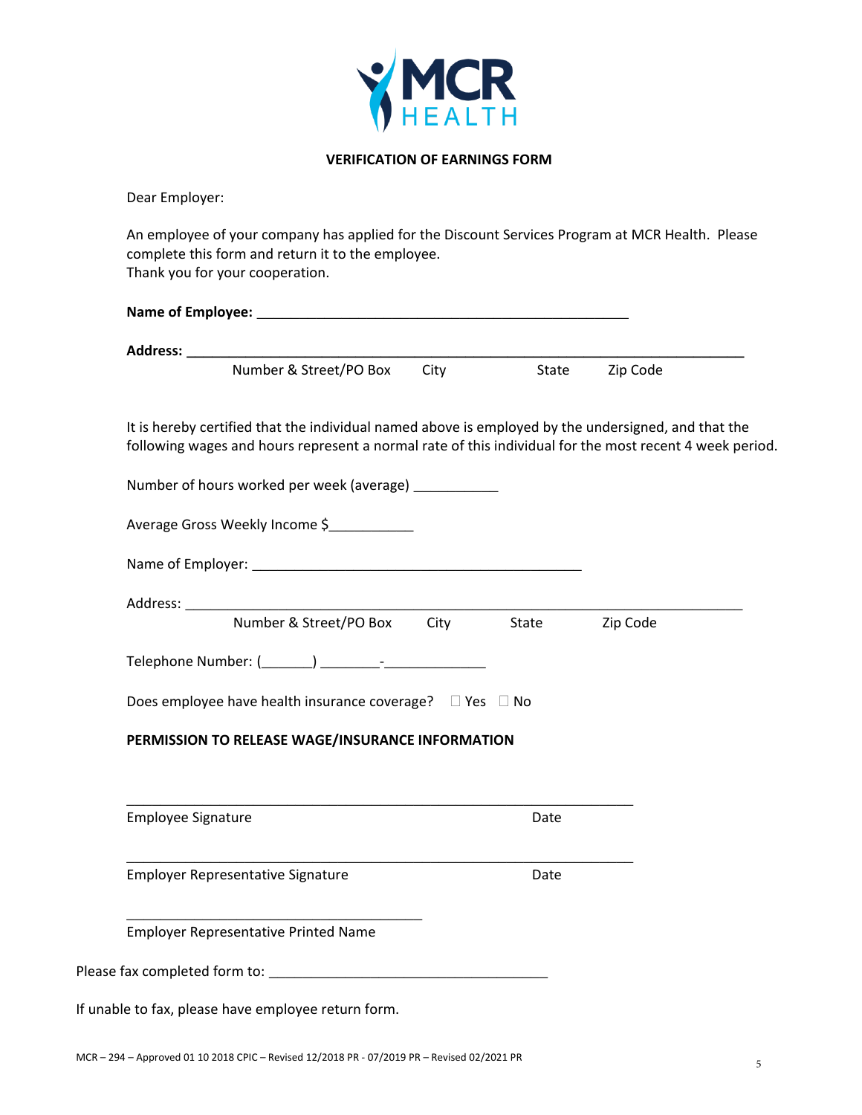

## **VERIFICATION OF EARNINGS FORM**

Dear Employer:

An employee of your company has applied for the Discount Services Program at MCR Health. Please complete this form and return it to the employee. Thank you for your cooperation.

| Number & Street/PO Box City State Zip Code                                                                                                                                                                     |            |      |          |
|----------------------------------------------------------------------------------------------------------------------------------------------------------------------------------------------------------------|------------|------|----------|
| It is hereby certified that the individual named above is employed by the undersigned, and that the<br>following wages and hours represent a normal rate of this individual for the most recent 4 week period. |            |      |          |
| Number of hours worked per week (average) ___________                                                                                                                                                          |            |      |          |
| Average Gross Weekly Income \$                                                                                                                                                                                 |            |      |          |
|                                                                                                                                                                                                                |            |      |          |
| Number & Street/PO Box                                                                                                                                                                                         | City State |      | Zip Code |
|                                                                                                                                                                                                                |            |      |          |
| Does employee have health insurance coverage? □ Yes □ No                                                                                                                                                       |            |      |          |
| PERMISSION TO RELEASE WAGE/INSURANCE INFORMATION                                                                                                                                                               |            |      |          |
|                                                                                                                                                                                                                |            |      |          |
| <b>Employee Signature</b>                                                                                                                                                                                      |            | Date |          |
| <b>Employer Representative Signature</b>                                                                                                                                                                       |            | Date |          |
| <b>Employer Representative Printed Name</b>                                                                                                                                                                    |            |      |          |

If unable to fax, please have employee return form.